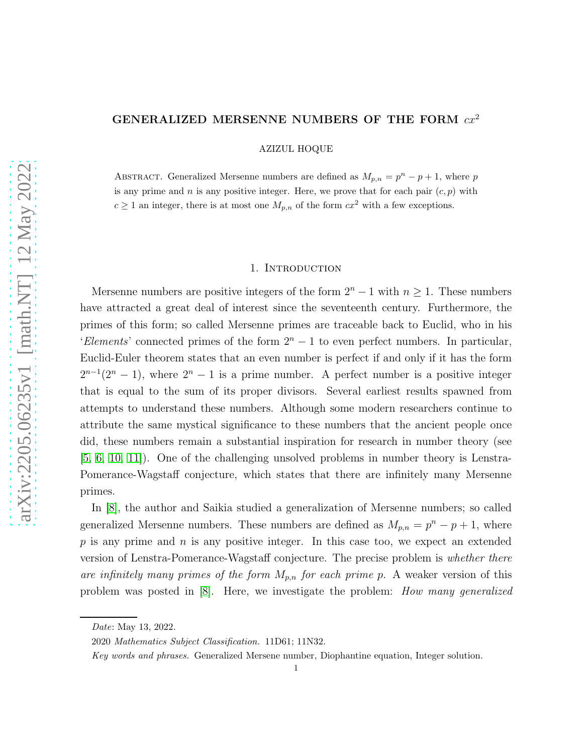## GENERALIZED MERSENNE NUMBERS OF THE FORM  $cx^2$

AZIZUL HOQUE

ABSTRACT. Generalized Mersenne numbers are defined as  $M_{p,n} = p^{n} - p + 1$ , where p is any prime and n is any positive integer. Here, we prove that for each pair  $(c, p)$  with  $c \ge 1$  an integer, there is at most one  $M_{p,n}$  of the form  $cx^2$  with a few exceptions.

## 1. Introduction

Mersenne numbers are positive integers of the form  $2^{n} - 1$  with  $n \ge 1$ . These numbers have attracted a great deal of interest since the seventeenth century. Furthermore, the primes of this form; so called Mersenne primes are traceable back to Euclid, who in his 'Elements' connected primes of the form  $2<sup>n</sup> - 1$  to even perfect numbers. In particular, Euclid-Euler theorem states that an even number is perfect if and only if it has the form  $2^{n-1}(2^n - 1)$ , where  $2^n - 1$  is a prime number. A perfect number is a positive integer that is equal to the sum of its proper divisors. Several earliest results spawned from attempts to understand these numbers. Although some modern researchers continue to attribute the same mystical significance to these numbers that the ancient people once did, these numbers remain a substantial inspiration for research in number theory (see [\[5,](#page-4-0) [6,](#page-4-1) [10,](#page-4-2) [11\]](#page-4-3)). One of the challenging unsolved problems in number theory is Lenstra-Pomerance-Wagstaff conjecture, which states that there are infinitely many Mersenne primes.

In [\[8\]](#page-4-4), the author and Saikia studied a generalization of Mersenne numbers; so called generalized Mersenne numbers. These numbers are defined as  $M_{p,n} = p^{n} - p + 1$ , where  $p$  is any prime and  $n$  is any positive integer. In this case too, we expect an extended version of Lenstra-Pomerance-Wagstaff conjecture. The precise problem is whether there are infinitely many primes of the form  $M_{p,n}$  for each prime p. A weaker version of this problem was posted in [\[8\]](#page-4-4). Here, we investigate the problem: How many generalized

Date: May 13, 2022.

<sup>2020</sup> Mathematics Subject Classification. 11D61; 11N32.

Key words and phrases. Generalized Mersene number, Diophantine equation, Integer solution.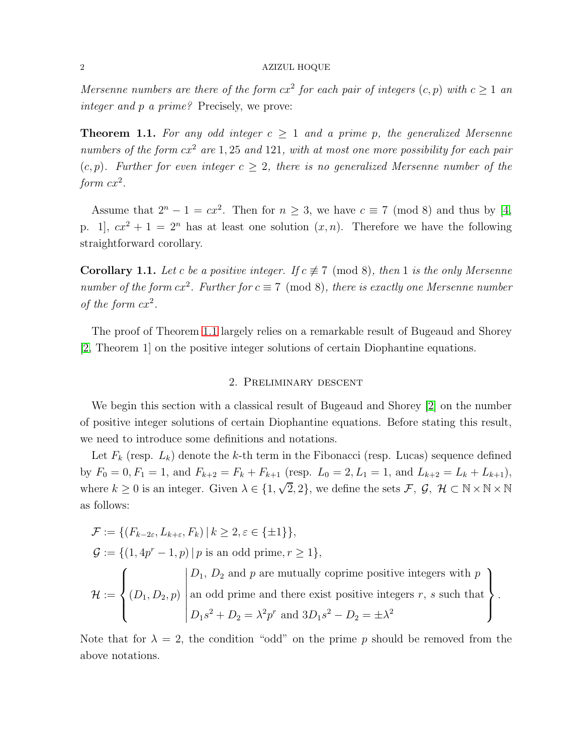Mersenne numbers are there of the form  $cx^2$  for each pair of integers  $(c, p)$  with  $c \ge 1$  and integer and p a prime? Precisely, we prove:

<span id="page-1-0"></span>**Theorem 1.1.** For any odd integer  $c \geq 1$  and a prime p, the generalized Mersenne numbers of the form  $cx^2$  are 1, 25 and 121, with at most one more possibility for each pair  $(c, p)$ . Further for even integer  $c \geq 2$ , there is no generalized Mersenne number of the form  $cx^2$ .

Assume that  $2^{n} - 1 = cx^{2}$ . Then for  $n \geq 3$ , we have  $c \equiv 7 \pmod{8}$  and thus by [\[4,](#page-4-5) p. 1,  $cx^2 + 1 = 2^n$  has at least one solution  $(x, n)$ . Therefore we have the following straightforward corollary.

**Corollary 1.1.** Let c be a positive integer. If  $c \not\equiv 7 \pmod{8}$ , then 1 is the only Mersenne number of the form  $cx^2$ . Further for  $c \equiv 7 \pmod{8}$ , there is exactly one Mersenne number of the form  $cx^2$ .

The proof of Theorem [1.1](#page-1-0) largely relies on a remarkable result of Bugeaud and Shorey [\[2,](#page-4-6) Theorem 1] on the positive integer solutions of certain Diophantine equations.

# 2. Preliminary descent

We begin this section with a classical result of Bugeaud and Shorey [\[2\]](#page-4-6) on the number of positive integer solutions of certain Diophantine equations. Before stating this result, we need to introduce some definitions and notations.

Let  $F_k$  (resp.  $L_k$ ) denote the k-th term in the Fibonacci (resp. Lucas) sequence defined by  $F_0 = 0, F_1 = 1$ , and  $F_{k+2} = F_k + F_{k+1}$  (resp.  $L_0 = 2, L_1 = 1$ , and  $L_{k+2} = L_k + L_{k+1}$ ), where  $k \geq 0$  is an integer. Given  $\lambda \in \{1, \sqrt{2}, 2\}$ , we define the sets  $\mathcal{F}, \mathcal{G}, \mathcal{H} \subset \mathbb{N} \times \mathbb{N} \times \mathbb{N}$ as follows:

$$
\mathcal{F} := \{ (F_{k-2\varepsilon}, L_{k+\varepsilon}, F_k) \mid k \ge 2, \varepsilon \in \{\pm 1\} \},
$$
  

$$
\mathcal{G} := \{ (1, 4p^r - 1, p) \mid p \text{ is an odd prime}, r \ge 1 \},
$$

$$
\mathcal{H} := \left\{ (D_1, D_2, p) \middle| \text{an odd prime and there exist positive integers } r, s \text{ such that } \begin{cases} D_1, D_2, p \text{ and } p \text{ are mutually coprime positive integers } r, s \text{ such that } D_1 s^2 + D_2 = \lambda^2 p^r \text{ and } 3D_1 s^2 - D_2 = \pm \lambda^2 \end{cases} \right\}.
$$

Note that for  $\lambda = 2$ , the condition "odd" on the prime p should be removed from the above notations.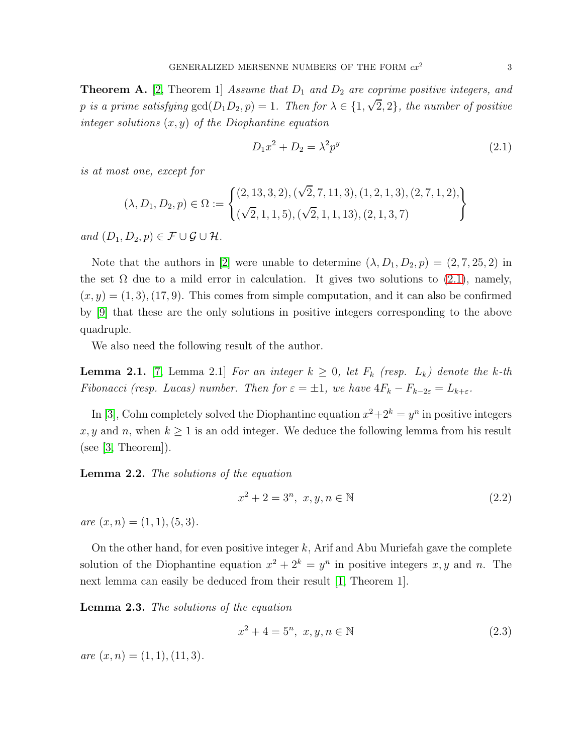<span id="page-2-1"></span>**Theorem A.** [\[2,](#page-4-6) Theorem 1] Assume that  $D_1$  and  $D_2$  are coprime positive integers, and p is a prime satisfying  $gcd(D_1D_2, p) = 1$ . Then for  $\lambda \in \{1, \sqrt{2}, 2\}$ , the number of positive integer solutions  $(x, y)$  of the Diophantine equation

<span id="page-2-0"></span>
$$
D_1 x^2 + D_2 = \lambda^2 p^y \tag{2.1}
$$

is at most one, except for

$$
(\lambda, D_1, D_2, p) \in \Omega := \left\{ \begin{aligned} &(2, 13, 3, 2), (\sqrt{2}, 7, 11, 3), (1, 2, 1, 3), (2, 7, 1, 2), \\ &(\sqrt{2}, 1, 1, 5), (\sqrt{2}, 1, 1, 13), (2, 1, 3, 7) \end{aligned} \right\}
$$

and  $(D_1, D_2, p) \in \mathcal{F} \cup \mathcal{G} \cup \mathcal{H}$ .

Note that the authors in [\[2\]](#page-4-6) were unable to determine  $(\lambda, D_1, D_2, p) = (2, 7, 25, 2)$  in the set  $\Omega$  due to a mild error in calculation. It gives two solutions to [\(2.1\)](#page-2-0), namely,  $(x, y) = (1, 3), (17, 9)$ . This comes from simple computation, and it can also be confirmed by [\[9\]](#page-4-7) that these are the only solutions in positive integers corresponding to the above quadruple.

We also need the following result of the author.

<span id="page-2-2"></span>**Lemma 2.1.** [\[7,](#page-4-8) Lemma 2.1] For an integer  $k \geq 0$ , let  $F_k$  (resp.  $L_k$ ) denote the k-th Fibonacci (resp. Lucas) number. Then for  $\varepsilon = \pm 1$ , we have  $4F_k - F_{k-2\varepsilon} = L_{k+\varepsilon}$ .

In [\[3\]](#page-4-9), Cohn completely solved the Diophantine equation  $x^2+2^k = y^n$  in positive integers x, y and n, when  $k \geq 1$  is an odd integer. We deduce the following lemma from his result (see [\[3,](#page-4-9) Theorem]).

<span id="page-2-3"></span>Lemma 2.2. The solutions of the equation

$$
x^2 + 2 = 3^n, \ x, y, n \in \mathbb{N}
$$
 (2.2)

are  $(x, n) = (1, 1), (5, 3)$ .

On the other hand, for even positive integer  $k$ , Arif and Abu Muriefah gave the complete solution of the Diophantine equation  $x^2 + 2^k = y^n$  in positive integers x, y and n. The next lemma can easily be deduced from their result [\[1,](#page-4-10) Theorem 1].

<span id="page-2-4"></span>Lemma 2.3. The solutions of the equation

$$
x^2 + 4 = 5^n, \ x, y, n \in \mathbb{N}
$$
 (2.3)

are  $(x, n) = (1, 1), (11, 3).$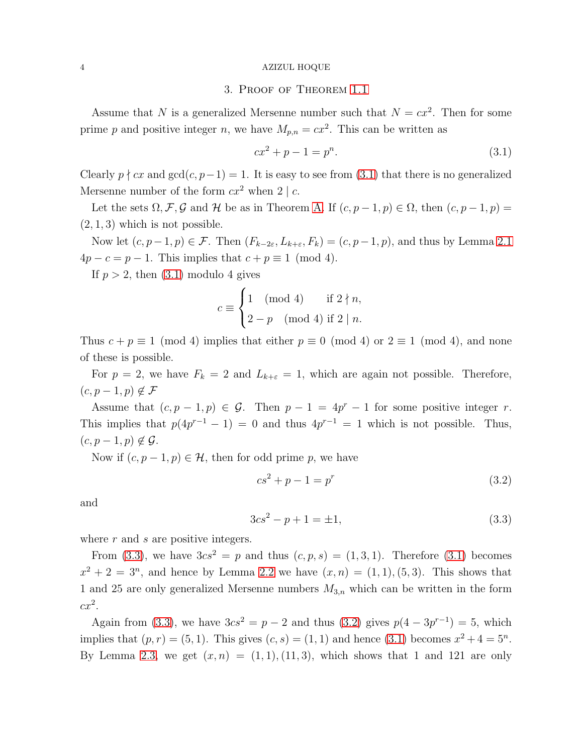#### 4 AZIZUL HOQUE

# 3. Proof of Theorem [1.1](#page-1-0)

Assume that N is a generalized Mersenne number such that  $N = cx^2$ . Then for some prime p and positive integer n, we have  $M_{p,n} = cx^2$ . This can be written as

<span id="page-3-0"></span>
$$
cx^2 + p - 1 = p^n.
$$
\n(3.1)

Clearly  $p \nmid cx$  and  $gcd(c, p-1) = 1$ . It is easy to see from [\(3.1\)](#page-3-0) that there is no generalized Mersenne number of the form  $cx^2$  when  $2 | c$ .

Let the sets  $\Omega, \mathcal{F}, \mathcal{G}$  and  $\mathcal{H}$  be as in Theorem [A.](#page-2-1) If  $(c, p-1, p) \in \Omega$ , then  $(c, p-1, p) =$  $(2, 1, 3)$  which is not possible.

Now let  $(c, p-1, p) \in \mathcal{F}$ . Then  $(F_{k-2\varepsilon}, L_{k+\varepsilon}, F_k) = (c, p-1, p)$ , and thus by Lemma [2.1](#page-2-2)  $4p - c = p - 1$ . This implies that  $c + p \equiv 1 \pmod{4}$ .

If  $p > 2$ , then  $(3.1)$  modulo 4 gives

$$
c \equiv \begin{cases} 1 \pmod{4} & \text{if } 2 \nmid n, \\ 2 - p \pmod{4} & \text{if } 2 \mid n. \end{cases}
$$

Thus  $c + p \equiv 1 \pmod{4}$  implies that either  $p \equiv 0 \pmod{4}$  or  $2 \equiv 1 \pmod{4}$ , and none of these is possible.

For  $p = 2$ , we have  $F_k = 2$  and  $L_{k+\varepsilon} = 1$ , which are again not possible. Therefore,  $(c, p-1, p) \notin \mathcal{F}$ 

Assume that  $(c, p-1, p) \in \mathcal{G}$ . Then  $p-1 = 4p^r - 1$  for some positive integer r. This implies that  $p(4p^{r-1}-1) = 0$  and thus  $4p^{r-1} = 1$  which is not possible. Thus,  $(c, p-1, p) \notin \mathcal{G}$ .

Now if  $(c, p-1, p) \in \mathcal{H}$ , then for odd prime p, we have

<span id="page-3-2"></span>
$$
cs^2 + p - 1 = p^r \tag{3.2}
$$

and

<span id="page-3-1"></span>
$$
3cs^2 - p + 1 = \pm 1,\tag{3.3}
$$

where  $r$  and  $s$  are positive integers.

From [\(3.3\)](#page-3-1), we have  $3cs^2 = p$  and thus  $(c, p, s) = (1, 3, 1)$ . Therefore [\(3.1\)](#page-3-0) becomes  $x^2 + 2 = 3^n$ , and hence by Lemma [2.2](#page-2-3) we have  $(x, n) = (1, 1), (5, 3)$ . This shows that 1 and 25 are only generalized Mersenne numbers  $M_{3,n}$  which can be written in the form  $cx^2$ .

Again from [\(3.3\)](#page-3-1), we have  $3cs^2 = p - 2$  and thus [\(3.2\)](#page-3-2) gives  $p(4 - 3p^{r-1}) = 5$ , which implies that  $(p, r) = (5, 1)$ . This gives  $(c, s) = (1, 1)$  and hence  $(3.1)$  becomes  $x^2 + 4 = 5^n$ . By Lemma [2.3,](#page-2-4) we get  $(x, n) = (1, 1), (11, 3)$ , which shows that 1 and 121 are only